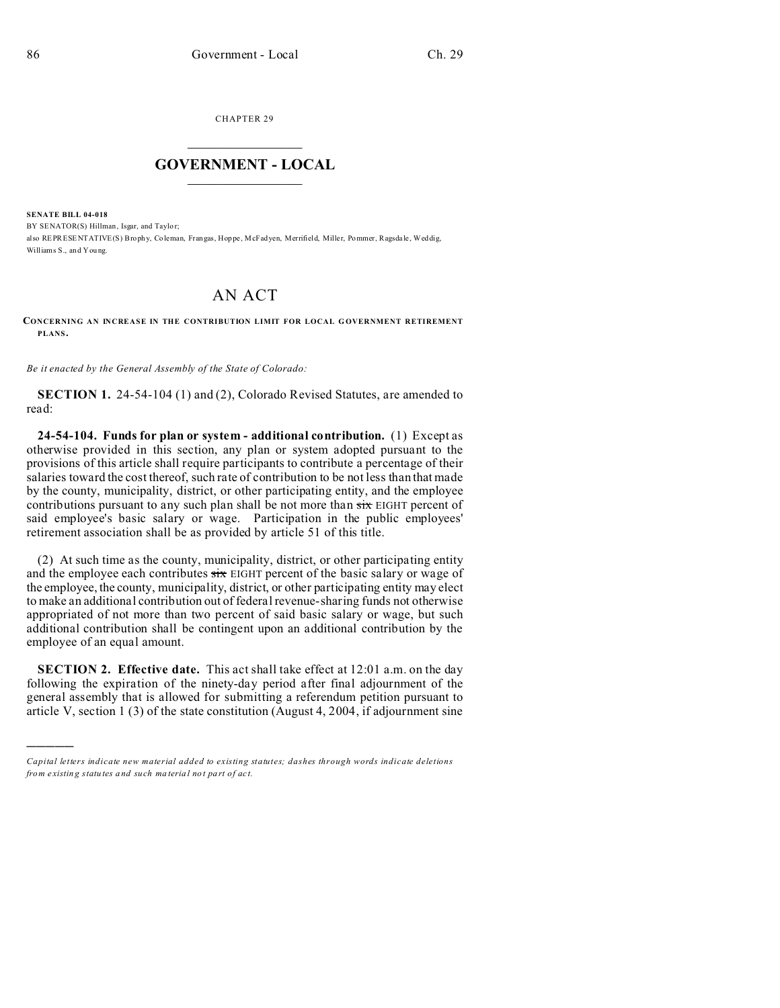)))))

CHAPTER 29  $\overline{\phantom{a}}$  , where  $\overline{\phantom{a}}$ 

## **GOVERNMENT - LOCAL**  $\_$   $\_$

**SENATE BILL 04-018** BY SENATOR(S) Hillman, Isgar, and Taylor: also REPRESENTATIVE(S) Brophy, Coleman, Frangas, Hoppe, McFadyen, Merrifield, Miller, Pommer, Ragsdale, Weddig, Williams S., and You ng.

## AN ACT

**CONCERNING AN INCREASE IN THE CONTRIBUTION LIMIT FOR LOCAL G OVERNMENT RETIREMENT PLANS.**

*Be it enacted by the General Assembly of the State of Colorado:*

**SECTION 1.** 24-54-104 (1) and (2), Colorado Revised Statutes, are amended to read:

**24-54-104. Funds for plan or system - additional contribution.** (1) Except as otherwise provided in this section, any plan or system adopted pursuant to the provisions of this article shall require participants to contribute a percentage of their salaries toward the cost thereof, such rate of contribution to be not less than that made by the county, municipality, district, or other participating entity, and the employee contributions pursuant to any such plan shall be not more than  $s\dot{x}$  EIGHT percent of said employee's basic salary or wage. Participation in the public employees' retirement association shall be as provided by article 51 of this title.

(2) At such time as the county, municipality, district, or other participating entity and the employee each contributes  $\frac{1}{\sin \theta}$  EIGHT percent of the basic salary or wage of the employee, the county, municipality, district, or other participating entity may elect to make an additional contribution out of federal revenue-sharing funds not otherwise appropriated of not more than two percent of said basic salary or wage, but such additional contribution shall be contingent upon an additional contribution by the employee of an equal amount.

**SECTION 2. Effective date.** This act shall take effect at 12:01 a.m. on the day following the expiration of the ninety-day period after final adjournment of the general assembly that is allowed for submitting a referendum petition pursuant to article V, section 1 (3) of the state constitution (August 4, 2004, if adjournment sine

*Capital letters indicate new material added to existing statutes; dashes through words indicate deletions from e xistin g statu tes a nd such ma teria l no t pa rt of ac t.*